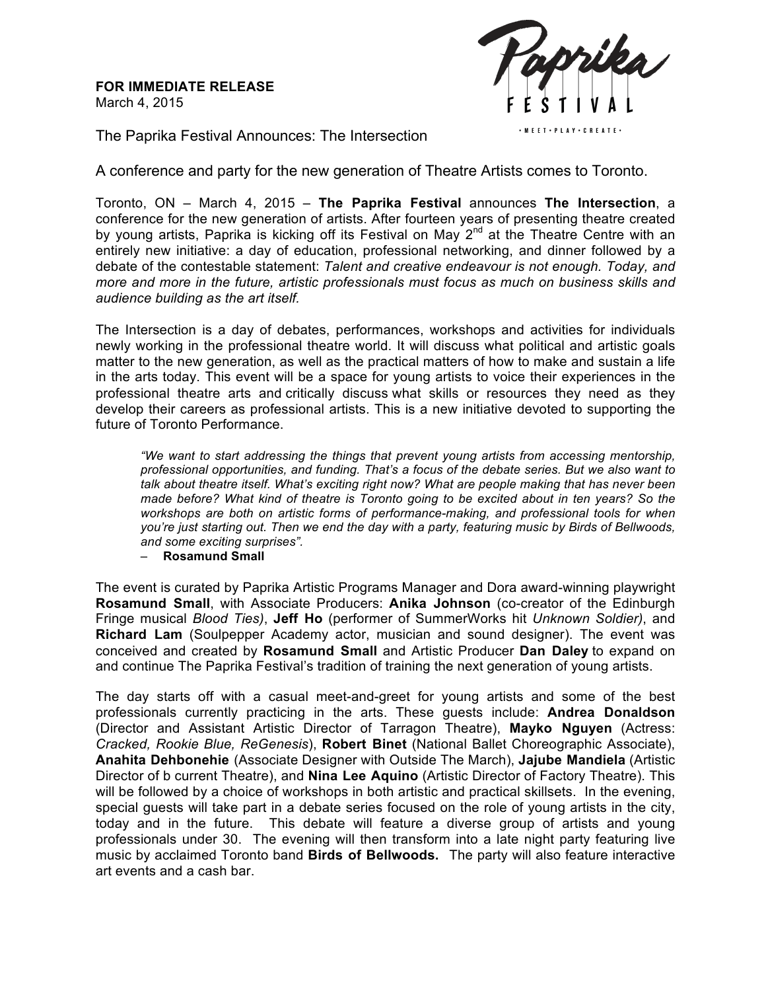**FOR IMMEDIATE RELEASE** March 4, 2015



The Paprika Festival Announces: The Intersection

A conference and party for the new generation of Theatre Artists comes to Toronto.

Toronto, ON – March 4, 2015 – **The Paprika Festival** announces **The Intersection**, a conference for the new generation of artists. After fourteen years of presenting theatre created by young artists, Paprika is kicking off its Festival on May 2<sup>nd</sup> at the Theatre Centre with an entirely new initiative: a day of education, professional networking, and dinner followed by a debate of the contestable statement: *Talent and creative endeavour is not enough. Today, and more and more in the future, artistic professionals must focus as much on business skills and audience building as the art itself.* 

The Intersection is a day of debates, performances, workshops and activities for individuals newly working in the professional theatre world. It will discuss what political and artistic goals matter to the new generation, as well as the practical matters of how to make and sustain a life in the arts today. This event will be a space for young artists to voice their experiences in the professional theatre arts and critically discuss what skills or resources they need as they develop their careers as professional artists. This is a new initiative devoted to supporting the future of Toronto Performance.

*"We want to start addressing the things that prevent young artists from accessing mentorship, professional opportunities, and funding. That's a focus of the debate series. But we also want to talk about theatre itself. What's exciting right now? What are people making that has never been made before? What kind of theatre is Toronto going to be excited about in ten years? So the workshops are both on artistic forms of performance-making, and professional tools for when you're just starting out. Then we end the day with a party, featuring music by Birds of Bellwoods, and some exciting surprises".*

– **Rosamund Small**

The event is curated by Paprika Artistic Programs Manager and Dora award-winning playwright **Rosamund Small**, with Associate Producers: **Anika Johnson** (co-creator of the Edinburgh Fringe musical *Blood Ties)*, **Jeff Ho** (performer of SummerWorks hit *Unknown Soldier)*, and **Richard Lam** (Soulpepper Academy actor, musician and sound designer). The event was conceived and created by **Rosamund Small** and Artistic Producer **Dan Daley** to expand on and continue The Paprika Festival's tradition of training the next generation of young artists.

The day starts off with a casual meet-and-greet for young artists and some of the best professionals currently practicing in the arts. These guests include: **Andrea Donaldson** (Director and Assistant Artistic Director of Tarragon Theatre), **Mayko Nguyen** (Actress: *Cracked, Rookie Blue, ReGenesis*), **Robert Binet** (National Ballet Choreographic Associate), **Anahita Dehbonehie** (Associate Designer with Outside The March), **Jajube Mandiela** (Artistic Director of b current Theatre), and **Nina Lee Aquino** (Artistic Director of Factory Theatre). This will be followed by a choice of workshops in both artistic and practical skillsets. In the evening, special guests will take part in a debate series focused on the role of young artists in the city, today and in the future. This debate will feature a diverse group of artists and young professionals under 30. The evening will then transform into a late night party featuring live music by acclaimed Toronto band **Birds of Bellwoods.** The party will also feature interactive art events and a cash bar.